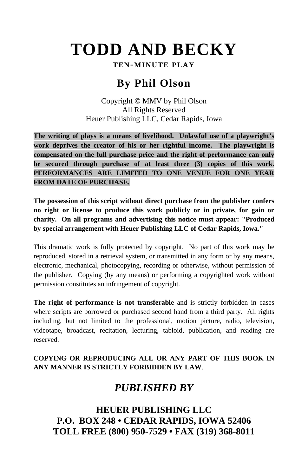# **TODD AND BECKY**

**TEN-MINUTE PLAY**

## **By Phil Olson**

Copyright © MMV by Phil Olson All Rights Reserved Heuer Publishing LLC, Cedar Rapids, Iowa

**The writing of plays is a means of livelihood. Unlawful use of a playwright's work deprives the creator of his or her rightful income. The playwright is compensated on the full purchase price and the right of performance can only be secured through purchase of at least three (3) copies of this work. PERFORMANCES ARE LIMITED TO ONE VENUE FOR ONE YEAR FROM DATE OF PURCHASE.** 

**The possession of this script without direct purchase from the publisher confers no right or license to produce this work publicly or in private, for gain or charity. On all programs and advertising this notice must appear: "Produced by special arrangement with Heuer Publishing LLC of Cedar Rapids, Iowa."** 

This dramatic work is fully protected by copyright. No part of this work may be reproduced, stored in a retrieval system, or transmitted in any form or by any means, electronic, mechanical, photocopying, recording or otherwise, without permission of the publisher. Copying (by any means) or performing a copyrighted work without permission constitutes an infringement of copyright.

**The right of performance is not transferable** and is strictly forbidden in cases where scripts are borrowed or purchased second hand from a third party. All rights including, but not limited to the professional, motion picture, radio, television, videotape, broadcast, recitation, lecturing, tabloid, publication, and reading are reserved.

### **COPYING OR REPRODUCING ALL OR ANY PART OF THIS BOOK IN ANY MANNER IS STRICTLY FORBIDDEN BY LAW**.

## *PUBLISHED BY*

**HEUER PUBLISHING LLC P.O. BOX 248 • CEDAR RAPIDS, IOWA 52406 TOLL FREE (800) 950-7529 • FAX (319) 368-8011**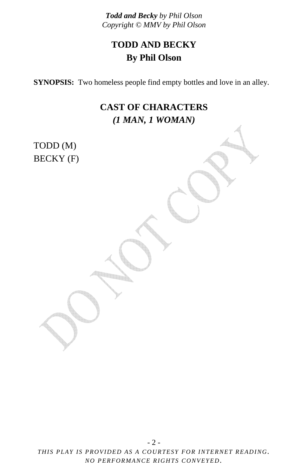## **TODD AND BECKY By Phil Olson**

**SYNOPSIS:** Two homeless people find empty bottles and love in an alley.

## **CAST OF CHARACTERS**  *(1 MAN, 1 WOMAN)*

TODD (M) BECKY (F)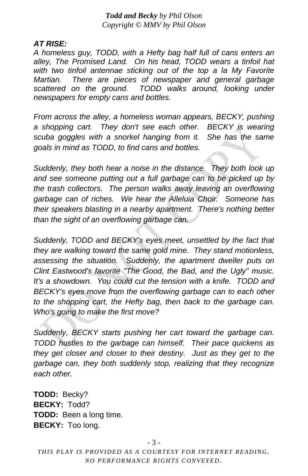#### *AT RISE:*

*A homeless guy, TODD, with a Hefty bag half full of cans enters an alley, The Promised Land. On his head, TODD wears a tinfoil hat with two tinfoil antennae sticking out of the top a la My Favorite Martian. There are pieces of newspaper and general garbage scattered on the ground. TODD walks around, looking under newspapers for empty cans and bottles.*

*From across the alley, a homeless woman appears, BECKY, pushing a shopping cart. They don't see each other. BECKY is wearing scuba goggles with a snorkel hanging from it. She has the same goals in mind as TODD, to find cans and bottles.* 

*Suddenly, they both hear a noise in the distance. They both look up and see someone putting out a full garbage can to be picked up by the trash collectors. The person walks away leaving an overflowing garbage can of riches. We hear the Alleluia Choir. Someone has their speakers blasting in a nearby apartment. There's nothing better than the sight of an overflowing garbage can.* 

*Suddenly, TODD and BECKY's eyes meet, unsettled by the fact that they are walking toward the same gold mine. They stand motionless, assessing the situation. Suddenly, the apartment dweller puts on Clint Eastwood's favorite "The Good, the Bad, and the Ugly" music. It's a showdown. You could cut the tension with a knife. TODD and BECKY's eyes move from the overflowing garbage can to each other to the shopping cart, the Hefty bag, then back to the garbage can. Who's going to make the first move?* 

*Suddenly, BECKY starts pushing her cart toward the garbage can. TODD hustles to the garbage can himself. Their pace quickens as they get closer and closer to their destiny. Just as they get to the garbage can, they both suddenly stop, realizing that they recognize each other.*

**TODD:** Becky? **BECKY:** Todd? **TODD:** Been a long time. **BECKY:** Too long.

- 3 -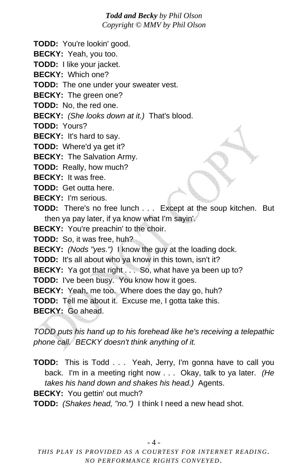**TODD:** You're lookin' good.

**BECKY:** Yeah, you too.

**TODD:** I like your jacket.

**BECKY:** Which one?

**TODD:** The one under your sweater vest.

**BECKY:** The green one?

**TODD:** No, the red one.

**BECKY:** *(She looks down at it.)* That's blood.

**TODD:** Yours?

**BECKY:** It's hard to say.

**TODD:** Where'd ya get it?

**BECKY:** The Salvation Army.

**TODD:** Really, how much?

**BECKY:** It was free.

**TODD:** Get outta here.

**BECKY:** I'm serious.

**TODD:** There's no free lunch . . . Except at the soup kitchen. But then ya pay later, if ya know what I'm sayin'.

**BECKY:** You're preachin' to the choir.

**TODD:** So, it was free, huh?

**BECKY:** *(Nods "yes.")* I know the guy at the loading dock.

**TODD:** It's all about who ya know in this town, isn't it?

**BECKY:** Ya got that right . . . So, what have ya been up to?

**TODD:** I've been busy. You know how it goes.

**BECKY:** Yeah, me too. Where does the day go, huh?

**TODD:** Tell me about it. Excuse me, I gotta take this.

**BECKY:** Go ahead.

*TODD puts his hand up to his forehead like he's receiving a telepathic phone call. BECKY doesn't think anything of it.* 

**TODD:** This is Todd . . . Yeah, Jerry, I'm gonna have to call you back. I'm in a meeting right now . . . Okay, talk to ya later. *(He takes his hand down and shakes his head.)* Agents.

**BECKY:** You gettin' out much?

**TODD:** *(Shakes head, "no.")* I think I need a new head shot.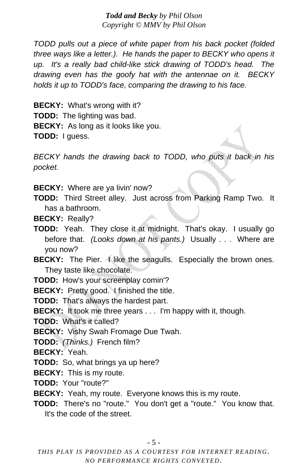*TODD pulls out a piece of white paper from his back pocket (folded three ways like a letter.). He hands the paper to BECKY who opens it up. It's a really bad child-like stick drawing of TODD's head. The drawing even has the goofy hat with the antennae on it. BECKY holds it up to TODD's face, comparing the drawing to his face.* 

**BECKY:** What's wrong with it? **TODD:** The lighting was bad. **BECKY:** As long as it looks like you. **TODD:** I guess.

*BECKY hands the drawing back to TODD, who puts it back in his pocket.* 

**BECKY:** Where are ya livin' now?

- **TODD:** Third Street alley. Just across from Parking Ramp Two. It has a bathroom.
- **BECKY:** Really?
- **TODD:** Yeah. They close it at midnight. That's okay. I usually go before that. *(Looks down at his pants.)* Usually . . . Where are you now?
- **BECKY:** The Pier. A like the seagulls. Especially the brown ones. They taste like chocolate.

**TODD:** How's your screenplay comin'?

**BECKY:** Pretty good. I finished the title.

**TODD:** That's always the hardest part.

**BECKY:** It took me three years . . . I'm happy with it, though.

**TODD:** What's it called?

**BECKY:** Vishy Swah Fromage Due Twah.

**TODD:** *(Thinks.)* French film?

**BECKY:** Yeah.

**TODD:** So, what brings ya up here?

**BECKY:** This is my route.

**TODD:** Your "route?"

**BECKY:** Yeah, my route. Everyone knows this is my route.

**TODD:** There's no "route." You don't get a "route." You know that. It's the code of the street.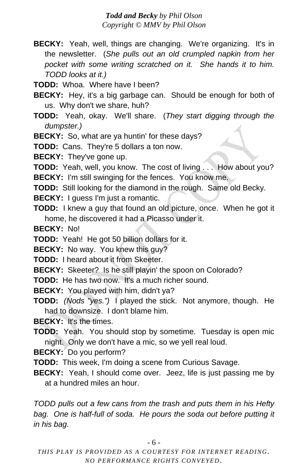- **BECKY:** Yeah, well, things are changing. We're organizing. It's in the newsletter. (*She pulls out an old crumpled napkin from her pocket with some writing scratched on it. She hands it to him. TODD looks at it.)*
- **TODD:** Whoa. Where have I been?
- **BECKY:** Hey, it's a big garbage can. Should be enough for both of us. Why don't we share, huh?
- **TODD:** Yeah, okay. We'll share. (*They start digging through the dumpster.)*
- **BECKY:** So, what are ya huntin' for these days?

**TODD:** Cans. They're 5 dollars a ton now.

**BECKY:** They've gone up.

**TODD:** Yeah, well, you know. The cost of living . . . How about you?

**BECKY:** I'm still swinging for the fences. You know me.

- **TODD:** Still looking for the diamond in the rough. Same old Becky.
- **BECKY:** I guess I'm just a romantic.
- **TODD:** I knew a guy that found an old picture, once. When he got it home, he discovered it had a Picasso under it.
- **BECKY:** No!
- **TODD:** Yeah! He got 50 billion dollars for it.

**BECKY:** No way. You knew this guy?

- **TODD:** I heard about it from Skeeter.
- **BECKY:** Skeeter? Is he still playin' the spoon on Colorado?
- **TODD:** He has two now. It's a much richer sound.

**BECKY:** You played with him, didn't ya?

**TODD:** *(Nods "yes.")* I played the stick. Not anymore, though. He had to downsize. I don't blame him.

**BECKY:** It's the times.

**TODD:** Yeah. You should stop by sometime. Tuesday is open mic night. Only we don't have a mic, so we yell real loud.

**BECKY:** Do you perform?

**TODD:** This week, I'm doing a scene from Curious Savage.

**BECKY:** Yeah, I should come over. Jeez, life is just passing me by at a hundred miles an hour.

*TODD pulls out a few cans from the trash and puts them in his Hefty bag. One is half-full of soda. He pours the soda out before putting it in his bag.*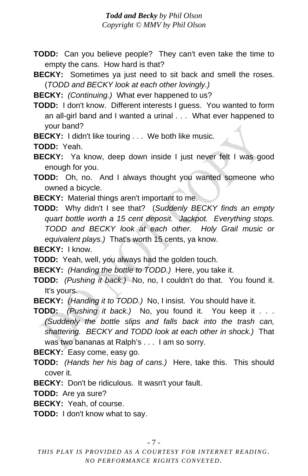- **TODD:** Can you believe people? They can't even take the time to empty the cans. How hard is that?
- **BECKY:** Sometimes ya just need to sit back and smell the roses. (*TODD and BECKY look at each other lovingly.)*

**BECKY:** *(Continuing.)* What ever happened to us?

**TODD:** I don't know. Different interests I guess. You wanted to form an all-girl band and I wanted a urinal . . . What ever happened to your band?

**BECKY:** I didn't like touring . . . We both like music.

**TODD:** Yeah.

**BECKY:** Ya know, deep down inside I just never felt I was good enough for you.

- **TODD:** Oh, no. And I always thought you wanted someone who owned a bicycle.
- **BECKY:** Material things aren't important to me.

**TODD:** Why didn't I see that? (*Suddenly BECKY finds an empty quart bottle worth a 15 cent deposit. Jackpot. Everything stops. TODD and BECKY look at each other. Holy Grail music or equivalent plays.)* That's worth 15 cents, ya know.

**BECKY:** I know.

**TODD:** Yeah, well, you always had the golden touch.

**BECKY:** *(Handing the bottle to TODD.)* Here, you take it.

- **TODD:** *(Pushing it back.)* No, no, I couldn't do that. You found it. It's yours.
- **BECKY:** *(Handing it to TODD.)* No, I insist. You should have it.
- **TODD:** *(Pushing it back.)* No, you found it. You keep it . . . *(Suddenly the bottle slips and falls back into the trash can, shattering. BECKY and TODD look at each other in shock.)* That was two bananas at Ralph's . . . I am so sorry.

**BECKY:** Easy come, easy go.

- **TODD:** *(Hands her his bag of cans.)* Here, take this. This should cover it.
- **BECKY:** Don't be ridiculous. It wasn't your fault.

**TODD:** Are ya sure?

**BECKY:** Yeah, of course.

**TODD:** I don't know what to say.